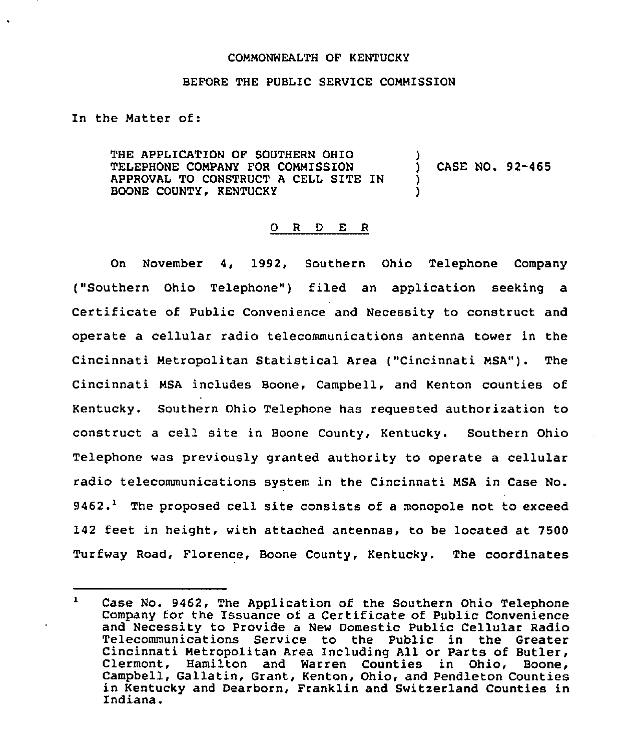## COMMONWEALTH OF KENTUCKY

## BEFORE THE PUBLIC SERVICE CONMISSION

In the Natter of:

THE APPLICATION OF SOUTHERN OHIO )<br>TELEPHONE COMPANY FOR COMMISSION ) TELEPHONE CONPANY FOR CONMISSION ) CASE NO. 92-465 APPROVAL TO CONSTRUCT <sup>A</sup> CELL SITE IN ) BOONE COUNTY, KENTUCKY

## 0 R <sup>D</sup> E R

On November 4, 1992, Southern Ohio Telephone Company ("Southern Ohio Telephone") filed an application seeking a Certificate of Public Convenience and Necessity to construct and operate a cellular radio telecommunications antenna tower in the Cincinnati Metropolitan Statistical Area ("Cincinnati NSA"). The Cincinnati NSA includes Boone, Campbell, and Kenton counties of Kentucky. Southern Ohio Telephone has requested authorization to construct a cell site in Boone County, Kentucky. Southern Ohio Telephone was previously granted authority to operate a cellular radio telecommunications system in the Cincinnati NSA in Case No.  $9462.$ <sup>1</sup> The proposed cell site consists of a monopole not to exceed 142 feet in height, with attached antennas, to be located at 7500 Turfway Road, Florence, Boone County, Kentucky. The coordinates

 $\mathbf{1}$ Case No. 9462, The Application of the Southern Ohio Telephone Company for the Issuance of a Certificate of Public Convenience and Necessity to Provide a New Domestic Public Cellular Radio Telecommunications Service to the Public in the Greater Cincinnati Metropolitan Area Including All or Parts of Butler, Clermont, Hamilton and Warren Counties in Ohio, Campbell, Gallatin, Grant, Kenton, Ohio, and Pendleton Counties in Kentucky and Dearborn, Franklin and Switzerland Counties in Indiana.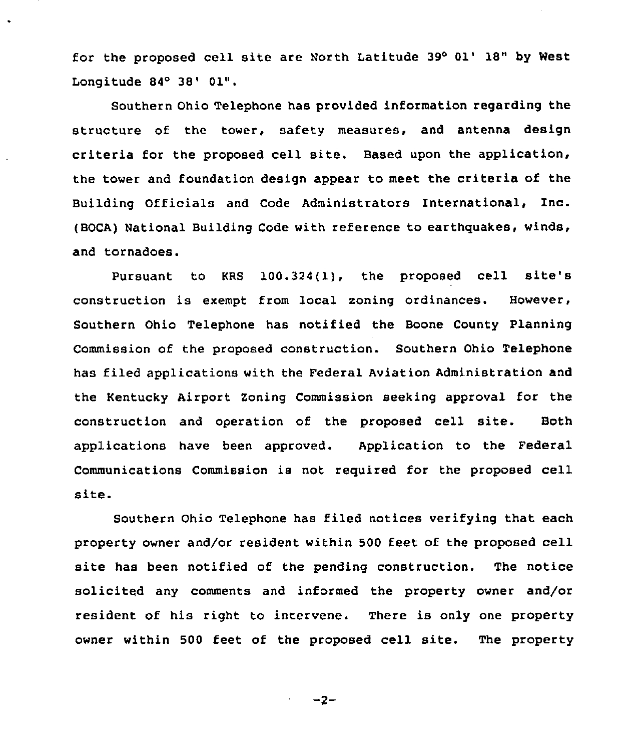for the proposed cell site are North Latitude 39° 01' 18" by West Longitude  $84^\circ$   $38'$   $01$ ".

Southern Ohio Telephone has provided information regarding the structure of the tower, safety measures, and antenna design criteria for the proposed cell site. Based upon the application, the tower and foundation design appear to meet the criteria of the Building Officials and Code Administrators International, Inc. (BOCA) National Building Code with reference to earthquakes, winds, and tornadoes.

Pursuant to KRS 100.324(1), the proposed cell site's construction is exempt from local soning ordinances. However, Southern Ohio Telephone has notified the Boone County Planning Commission of the proposed construction. Southern Ohio Telephone has filed applications with the Federal Aviation Administration and the Kentucky Airport Zoning Commission seeking approval for the construction and operation of the proposed cell site. Both applications have been approved. Application to the Federal Communications Commission is not required for the proposed cell site.

Southern Ohio Telephone has filed notices verifying that each property owner and/or resident within 500 feet of the proposed cell site has been notified of the pending construction. The notice solicited any comments and informed the property owner and/or resident of his right to intervene. There is only one property owner within <sup>500</sup> feet of the proposed cell site. The property

 $-2-$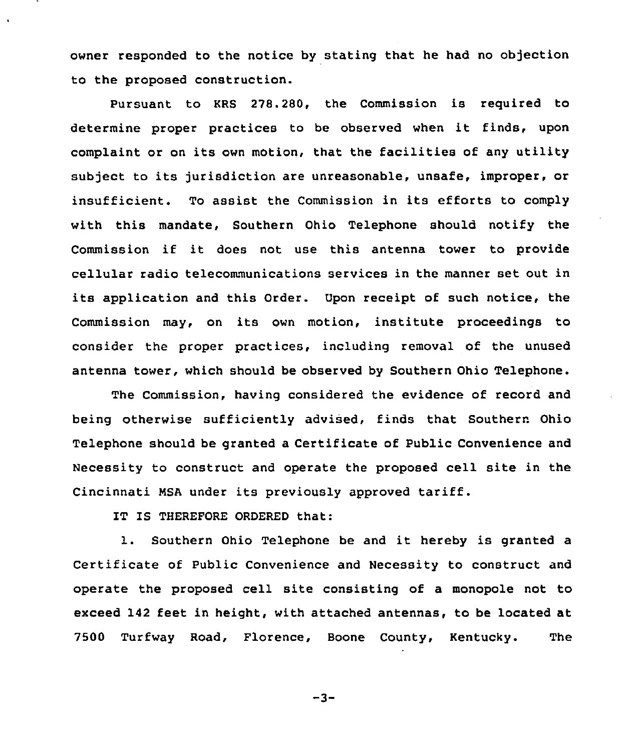owner responded to the notice by stating that he had no objection to the proposed construction.

Pursuant to KRS 278.280, the Commission is required to determine proper practices to be observed when it finds, upon complaint or on its own motion, that the facilities of any utility subject to its jurisdiction are unreasonable, unsafe, improper, or insufficient. To assist the Commission in its efforts to comply with this mandate, Southern Ohio Telephone should notify the Commission if it does not use this antenna tower to provide cellular radio telecommunications services in the manner set out in its application and this Order. Upon receipt of such notice, the Commission may, on its own motion, institute proceedings to consider the proper practices, including removal of the unused antenna tower, which should be observed by Southern Ohio Telephone.

The Commission, having considered the evidence of record and being otherwise sufficiently advised, finds that Southern Ohio Telephone should be granted a Certificate of Public Convenience and Necessity to construct and operate the proposed cell site in the Cincinnati NSA under its previously approved tariff.

IT IS THEREFORE ORDERED that:

 $\mathbf{A}$  .

1. Southern Ohio Telephone be and it hereby is granted <sup>a</sup> Certificate of Public Convenience and Necessity to construct and operate the proposed cell site consisting of a monopole not to exceed 142 feet in height, with attached antennas, to be located at 7500 Turfway Road, Florence, Boone County, Kentucky. The

 $-3-$